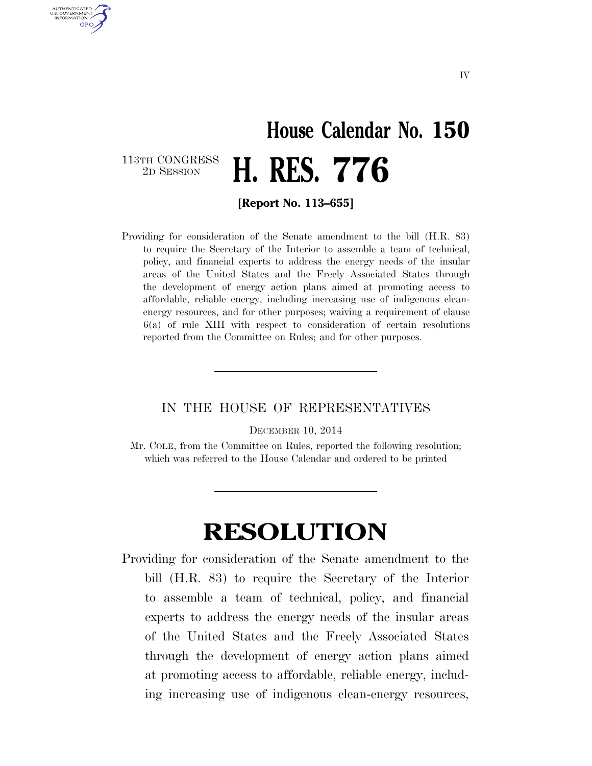## **House Calendar No. 150**  2D SESSION **H. RES. 776**

113TH CONGRESS<br>2D SESSION

U.S. GOVERNMENT **GPO** 

**[Report No. 113–655]** 

Providing for consideration of the Senate amendment to the bill (H.R. 83) to require the Secretary of the Interior to assemble a team of technical, policy, and financial experts to address the energy needs of the insular areas of the United States and the Freely Associated States through the development of energy action plans aimed at promoting access to affordable, reliable energy, including increasing use of indigenous cleanenergy resources, and for other purposes; waiving a requirement of clause 6(a) of rule XIII with respect to consideration of certain resolutions reported from the Committee on Rules; and for other purposes.

## IN THE HOUSE OF REPRESENTATIVES

DECEMBER 10, 2014

Mr. COLE, from the Committee on Rules, reported the following resolution; which was referred to the House Calendar and ordered to be printed

## **RESOLUTION**

Providing for consideration of the Senate amendment to the bill (H.R. 83) to require the Secretary of the Interior to assemble a team of technical, policy, and financial experts to address the energy needs of the insular areas of the United States and the Freely Associated States through the development of energy action plans aimed at promoting access to affordable, reliable energy, including increasing use of indigenous clean-energy resources,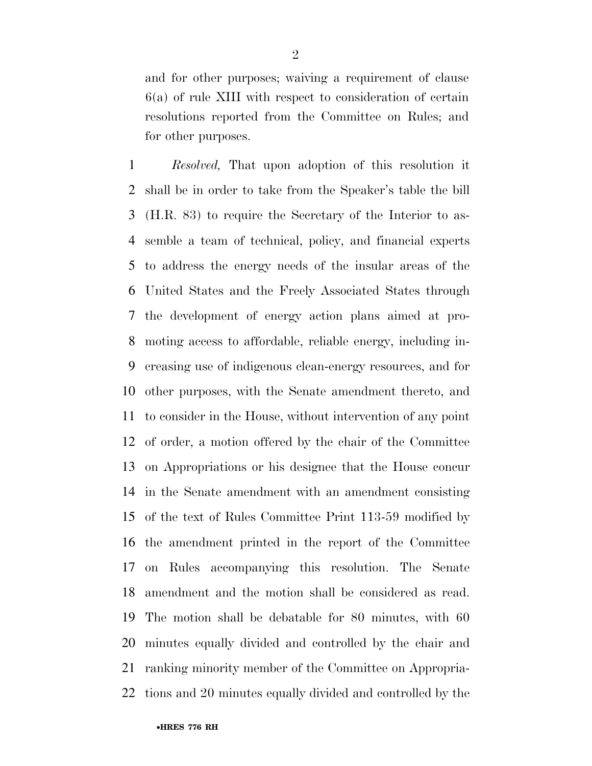and for other purposes; waiving a requirement of clause 6(a) of rule XIII with respect to consideration of certain resolutions reported from the Committee on Rules; and for other purposes.

 *Resolved,* That upon adoption of this resolution it shall be in order to take from the Speaker's table the bill (H.R. 83) to require the Secretary of the Interior to as- semble a team of technical, policy, and financial experts to address the energy needs of the insular areas of the United States and the Freely Associated States through the development of energy action plans aimed at pro- moting access to affordable, reliable energy, including in- creasing use of indigenous clean-energy resources, and for other purposes, with the Senate amendment thereto, and to consider in the House, without intervention of any point of order, a motion offered by the chair of the Committee on Appropriations or his designee that the House concur in the Senate amendment with an amendment consisting of the text of Rules Committee Print 113-59 modified by the amendment printed in the report of the Committee on Rules accompanying this resolution. The Senate amendment and the motion shall be considered as read. The motion shall be debatable for 80 minutes, with 60 minutes equally divided and controlled by the chair and ranking minority member of the Committee on Appropria-tions and 20 minutes equally divided and controlled by the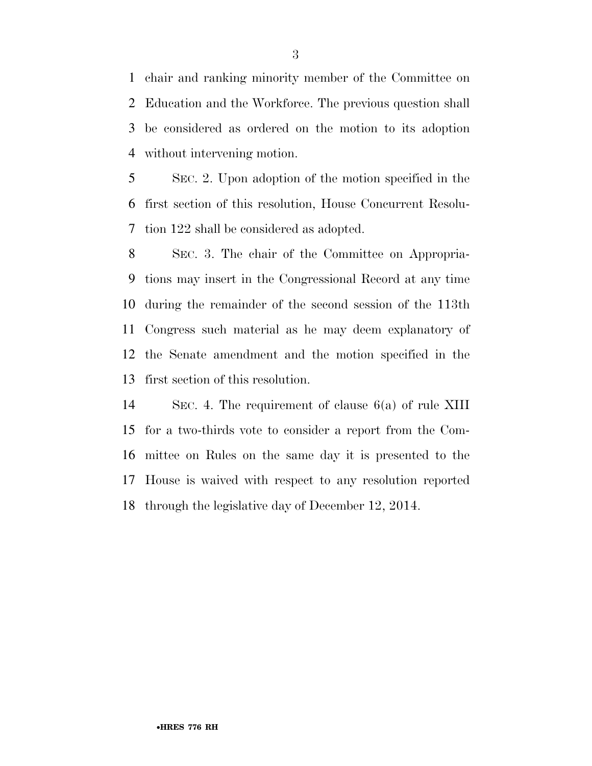chair and ranking minority member of the Committee on Education and the Workforce. The previous question shall be considered as ordered on the motion to its adoption without intervening motion.

 SEC. 2. Upon adoption of the motion specified in the first section of this resolution, House Concurrent Resolu-tion 122 shall be considered as adopted.

 SEC. 3. The chair of the Committee on Appropria- tions may insert in the Congressional Record at any time during the remainder of the second session of the 113th Congress such material as he may deem explanatory of the Senate amendment and the motion specified in the first section of this resolution.

 SEC. 4. The requirement of clause 6(a) of rule XIII for a two-thirds vote to consider a report from the Com- mittee on Rules on the same day it is presented to the House is waived with respect to any resolution reported through the legislative day of December 12, 2014.